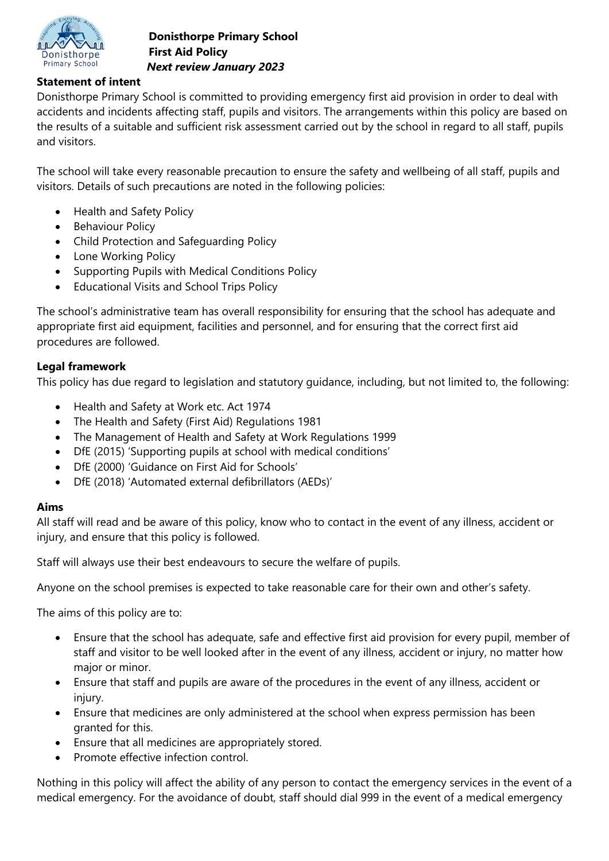

# **Statement of intent**

Donisthorpe Primary School is committed to providing emergency first aid provision in order to deal with accidents and incidents affecting staff, pupils and visitors. The arrangements within this policy are based on the results of a suitable and sufficient risk assessment carried out by the school in regard to all staff, pupils and visitors.

The school will take every reasonable precaution to ensure the safety and wellbeing of all staff, pupils and visitors. Details of such precautions are noted in the following policies:

- Health and Safety Policy
- Behaviour Policy
- Child Protection and Safeguarding Policy
- Lone Working Policy
- Supporting Pupils with Medical Conditions Policy
- Educational Visits and School Trips Policy

The school's administrative team has overall responsibility for ensuring that the school has adequate and appropriate first aid equipment, facilities and personnel, and for ensuring that the correct first aid procedures are followed.

# **Legal framework**

This policy has due regard to legislation and statutory guidance, including, but not limited to, the following:

- Health and Safety at Work etc. Act 1974
- The Health and Safety (First Aid) Regulations 1981
- The Management of Health and Safety at Work Regulations 1999
- DfE (2015) 'Supporting pupils at school with medical conditions'
- DfE (2000) 'Guidance on First Aid for Schools'
- DfE (2018) 'Automated external defibrillators (AEDs)'

## **Aims**

All staff will read and be aware of this policy, know who to contact in the event of any illness, accident or injury, and ensure that this policy is followed.

Staff will always use their best endeavours to secure the welfare of pupils.

Anyone on the school premises is expected to take reasonable care for their own and other's safety.

The aims of this policy are to:

- Ensure that the school has adequate, safe and effective first aid provision for every pupil, member of staff and visitor to be well looked after in the event of any illness, accident or injury, no matter how major or minor.
- Ensure that staff and pupils are aware of the procedures in the event of any illness, accident or injury.
- Ensure that medicines are only administered at the school when express permission has been granted for this.
- Ensure that all medicines are appropriately stored.
- Promote effective infection control.

Nothing in this policy will affect the ability of any person to contact the emergency services in the event of a medical emergency. For the avoidance of doubt, staff should dial 999 in the event of a medical emergency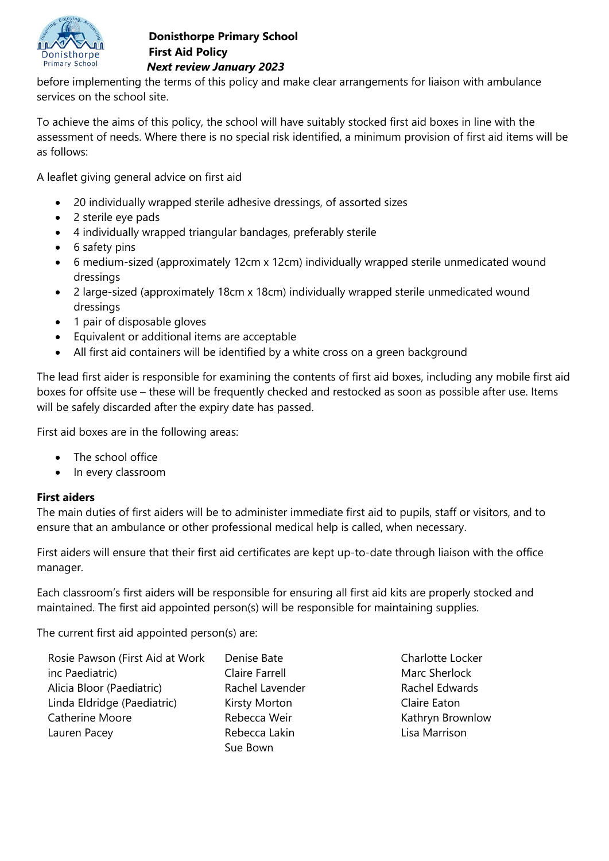

before implementing the terms of this policy and make clear arrangements for liaison with ambulance services on the school site.

To achieve the aims of this policy, the school will have suitably stocked first aid boxes in line with the assessment of needs. Where there is no special risk identified, a minimum provision of first aid items will be as follows:

A leaflet giving general advice on first aid

- 20 individually wrapped sterile adhesive dressings, of assorted sizes
- 2 sterile eye pads
- 4 individually wrapped triangular bandages, preferably sterile
- 6 safety pins
- 6 medium-sized (approximately 12cm x 12cm) individually wrapped sterile unmedicated wound dressings
- 2 large-sized (approximately 18cm x 18cm) individually wrapped sterile unmedicated wound dressings
- 1 pair of disposable gloves
- Equivalent or additional items are acceptable
- All first aid containers will be identified by a white cross on a green background

The lead first aider is responsible for examining the contents of first aid boxes, including any mobile first aid boxes for offsite use – these will be frequently checked and restocked as soon as possible after use. Items will be safely discarded after the expiry date has passed.

First aid boxes are in the following areas:

- The school office
- In every classroom

## **First aiders**

The main duties of first aiders will be to administer immediate first aid to pupils, staff or visitors, and to ensure that an ambulance or other professional medical help is called, when necessary.

First aiders will ensure that their first aid certificates are kept up-to-date through liaison with the office manager.

Each classroom's first aiders will be responsible for ensuring all first aid kits are properly stocked and maintained. The first aid appointed person(s) will be responsible for maintaining supplies.

The current first aid appointed person(s) are:

| Rosie Pawson (First Aid at Work | Denise Bate           |
|---------------------------------|-----------------------|
| inc Paediatric)                 | <b>Claire Farrell</b> |
| Alicia Bloor (Paediatric)       | Rachel Lavender       |
| Linda Eldridge (Paediatric)     | Kirsty Morton         |
| <b>Catherine Moore</b>          | Rebecca Weir          |
| Lauren Pacey                    | Rebecca Lakin         |
|                                 | Sue Bown              |

Charlotte Locker Marc Sherlock Rachel Edwards Claire Eaton Kathryn Brownlow Lisa Marrison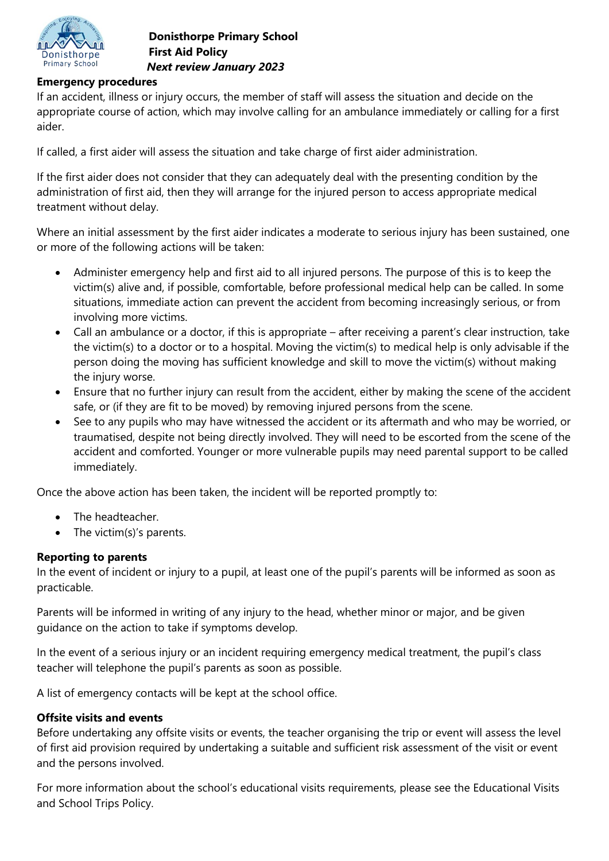

### **Emergency procedures**

If an accident, illness or injury occurs, the member of staff will assess the situation and decide on the appropriate course of action, which may involve calling for an ambulance immediately or calling for a first aider.

If called, a first aider will assess the situation and take charge of first aider administration.

If the first aider does not consider that they can adequately deal with the presenting condition by the administration of first aid, then they will arrange for the injured person to access appropriate medical treatment without delay.

Where an initial assessment by the first aider indicates a moderate to serious injury has been sustained, one or more of the following actions will be taken:

- Administer emergency help and first aid to all injured persons. The purpose of this is to keep the victim(s) alive and, if possible, comfortable, before professional medical help can be called. In some situations, immediate action can prevent the accident from becoming increasingly serious, or from involving more victims.
- Call an ambulance or a doctor, if this is appropriate after receiving a parent's clear instruction, take the victim(s) to a doctor or to a hospital. Moving the victim(s) to medical help is only advisable if the person doing the moving has sufficient knowledge and skill to move the victim(s) without making the injury worse.
- Ensure that no further injury can result from the accident, either by making the scene of the accident safe, or (if they are fit to be moved) by removing injured persons from the scene.
- See to any pupils who may have witnessed the accident or its aftermath and who may be worried, or traumatised, despite not being directly involved. They will need to be escorted from the scene of the accident and comforted. Younger or more vulnerable pupils may need parental support to be called immediately.

Once the above action has been taken, the incident will be reported promptly to:

- The headteacher.
- The victim(s)'s parents.

#### **Reporting to parents**

In the event of incident or injury to a pupil, at least one of the pupil's parents will be informed as soon as practicable.

Parents will be informed in writing of any injury to the head, whether minor or major, and be given guidance on the action to take if symptoms develop.

In the event of a serious injury or an incident requiring emergency medical treatment, the pupil's class teacher will telephone the pupil's parents as soon as possible.

A list of emergency contacts will be kept at the school office.

#### **Offsite visits and events**

Before undertaking any offsite visits or events, the teacher organising the trip or event will assess the level of first aid provision required by undertaking a suitable and sufficient risk assessment of the visit or event and the persons involved.

For more information about the school's educational visits requirements, please see the Educational Visits and School Trips Policy.